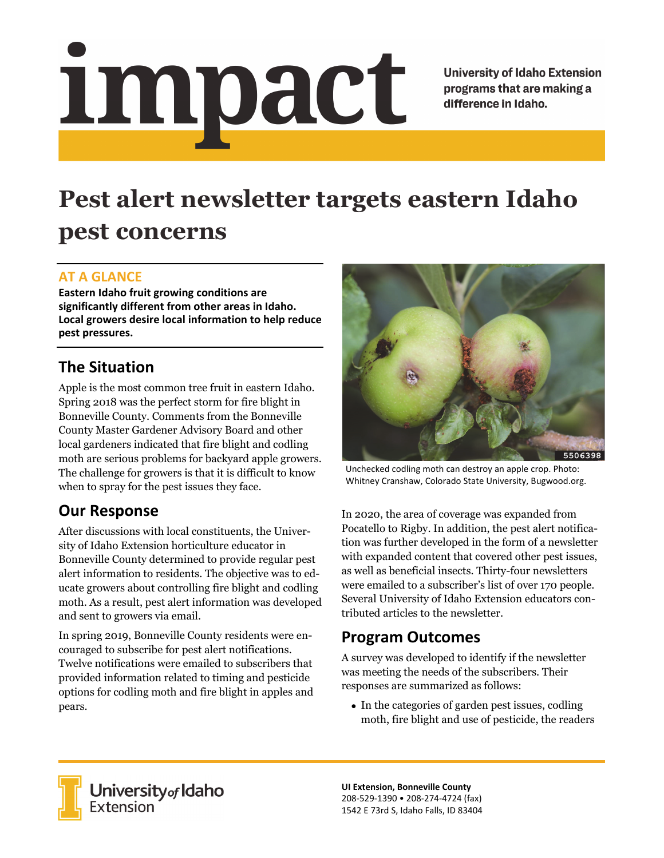# <u>impact</u>

**University of Idaho Extension** programs that are making a difference in Idaho.

# **Pest alert newsletter targets eastern Idaho pest concerns**

### **AT A GLANCE**

**Eastern Idaho fruit growing conditions are significantly different from other areas in Idaho. Local growers desire local information to help reduce pest pressures.** 

## **The Situation**

Apple is the most common tree fruit in eastern Idaho. Spring 2018 was the perfect storm for fire blight in Bonneville County. Comments from the Bonneville County Master Gardener Advisory Board and other local gardeners indicated that fire blight and codling moth are serious problems for backyard apple growers. The challenge for growers is that it is difficult to know when to spray for the pest issues they face.

# **Our Response**

After discussions with local constituents, the University of Idaho Extension horticulture educator in Bonneville County determined to provide regular pest alert information to residents. The objective was to educate growers about controlling fire blight and codling moth. As a result, pest alert information was developed and sent to growers via email.

In spring 2019, Bonneville County residents were encouraged to subscribe for pest alert notifications. Twelve notifications were emailed to subscribers that provided information related to timing and pesticide options for codling moth and fire blight in apples and pears.



Unchecked codling moth can destroy an apple crop. Photo: Whitney Cranshaw, Colorado State University, Bugwood.org.

In 2020, the area of coverage was expanded from Pocatello to Rigby. In addition, the pest alert notification was further developed in the form of a newsletter with expanded content that covered other pest issues, as well as beneficial insects. Thirty-four newsletters were emailed to a subscriber's list of over 170 people. Several University of Idaho Extension educators contributed articles to the newsletter.

### **Program Outcomes**

A survey was developed to identify if the newsletter was meeting the needs of the subscribers. Their responses are summarized as follows:

• In the categories of garden pest issues, codling moth, fire blight and use of pesticide, the readers



**University** of Idaho<br>Extension

**UI Extension, Bonneville County**  208‐529‐1390 • 208‐274‐4724 (fax) 1542 E 73rd S, Idaho Falls, ID 83404